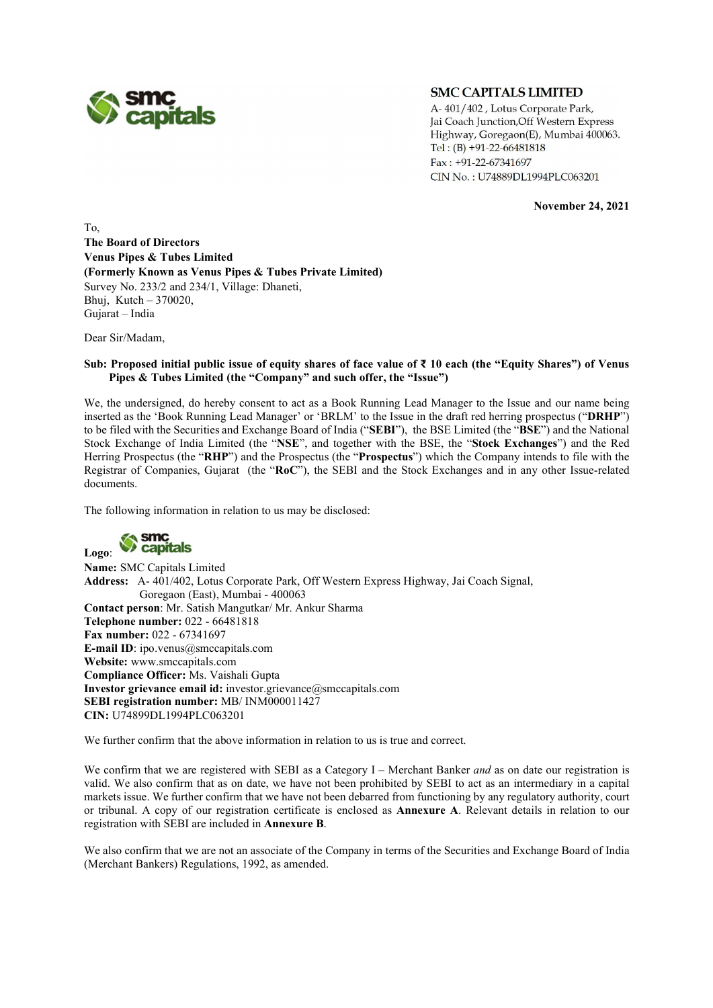

## **SMC CAPITALS LIMITED**

A-401/402, Lotus Corporate Park, Jai Coach Junction, Off Western Express Highway, Goregaon(E), Mumbai 400063. Tel:  $(B) +91-22-66481818$ Fax: +91-22-67341697 CIN No.: U74889DL1994PLC063201

November 24, 2021

To, The Board of Directors Venus Pipes & Tubes Limited (Formerly Known as Venus Pipes & Tubes Private Limited) Survey No. 233/2 and 234/1, Village: Dhaneti, Bhuj, Kutch – 370020, Gujarat – India

Dear Sir/Madam,

### Sub: Proposed initial public issue of equity shares of face value of ₹ 10 each (the "Equity Shares") of Venus Pipes & Tubes Limited (the "Company" and such offer, the "Issue")

We, the undersigned, do hereby consent to act as a Book Running Lead Manager to the Issue and our name being inserted as the 'Book Running Lead Manager' or 'BRLM' to the Issue in the draft red herring prospectus ("DRHP") to be filed with the Securities and Exchange Board of India ("SEBI"), the BSE Limited (the "BSE") and the National Stock Exchange of India Limited (the "NSE", and together with the BSE, the "Stock Exchanges") and the Red Herring Prospectus (the "RHP") and the Prospectus (the "Prospectus") which the Company intends to file with the Registrar of Companies, Gujarat (the "RoC"), the SEBI and the Stock Exchanges and in any other Issue-related documents.

The following information in relation to us may be disclosed:



Name: SMC Capitals Limited Address: A- 401/402, Lotus Corporate Park, Off Western Express Highway, Jai Coach Signal, Goregaon (East), Mumbai - 400063 Contact person: Mr. Satish Mangutkar/ Mr. Ankur Sharma Telephone number: 022 - 66481818 Fax number: 022 - 67341697 E-mail ID: ipo.venus@smccapitals.com Website: www.smccapitals.com Compliance Officer: Ms. Vaishali Gupta Investor grievance email id: investor.grievance@smccapitals.com SEBI registration number: MB/ INM000011427 CIN: U74899DL1994PLC063201

We further confirm that the above information in relation to us is true and correct.

We confirm that we are registered with SEBI as a Category I – Merchant Banker and as on date our registration is valid. We also confirm that as on date, we have not been prohibited by SEBI to act as an intermediary in a capital markets issue. We further confirm that we have not been debarred from functioning by any regulatory authority, court or tribunal. A copy of our registration certificate is enclosed as Annexure A. Relevant details in relation to our registration with SEBI are included in Annexure B. We also confirm that we are not an associate of the Company in terms of the Securities and Exchange Board of India

(Merchant Bankers) Regulations, 1992, as amended.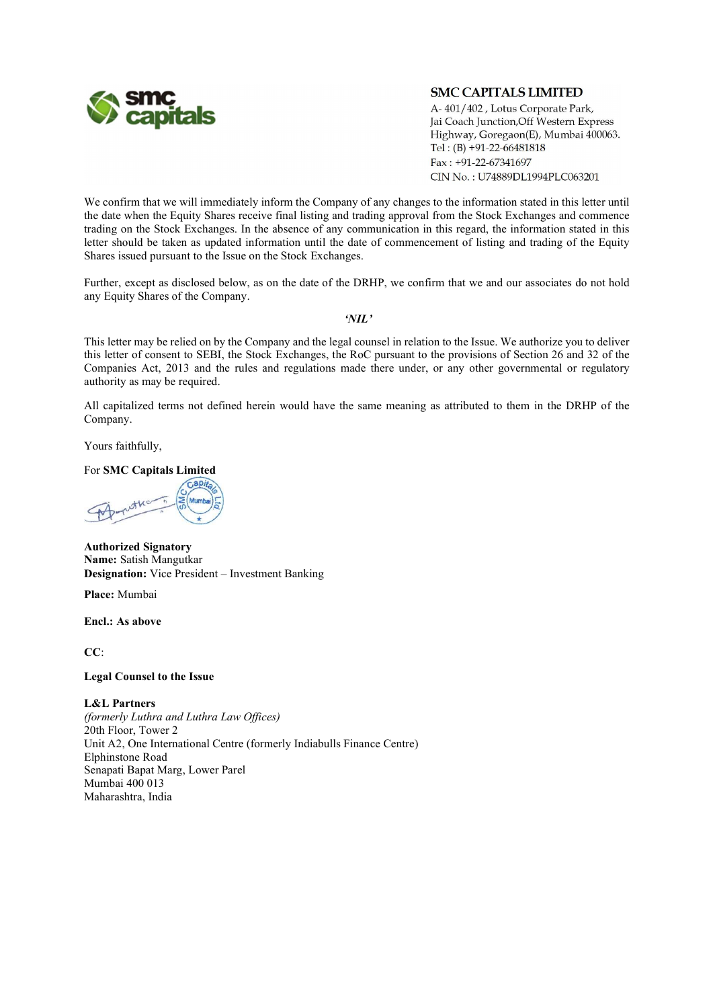

# **SMC CAPITALS LIMITED**

A-401/402, Lotus Corporate Park, Jai Coach Junction, Off Western Express Highway, Goregaon(E), Mumbai 400063. Tel:  $(B) +91-22-66481818$ Fax: +91-22-67341697 CIN No.: U74889DL1994PLC063201

We confirm that we will immediately inform the Company of any changes to the information stated in this letter until the date when the Equity Shares receive final listing and trading approval from the Stock Exchanges and commence trading on the Stock Exchanges. In the absence of any communication in this regard, the information stated in this letter should be taken as updated information until the date of commencement of listing and trading of the Equity Shares issued pursuant to the Issue on the Stock Exchanges.

Further, except as disclosed below, as on the date of the DRHP, we confirm that we and our associates do not hold any Equity Shares of the Company.

### 'NIL'

This letter may be relied on by the Company and the legal counsel in relation to the Issue. We authorize you to deliver this letter of consent to SEBI, the Stock Exchanges, the RoC pursuant to the provisions of Section 26 and 32 of the Companies Act, 2013 and the rules and regulations made there under, or any other governmental or regulatory authority as may be required.

All capitalized terms not defined herein would have the same meaning as attributed to them in the DRHP of the Company.

Yours faithfully,

For SMC Capitals Limited

Authorized Signatory Name: Satish Mangutkar Designation: Vice President – Investment Banking

Place: Mumbai

Encl.: As above

CC:

## Legal Counsel to the Issue

#### L&L Partners

(formerly Luthra and Luthra Law Offices) 20th Floor, Tower 2 Unit A2, One International Centre (formerly Indiabulls Finance Centre) Elphinstone Road Senapati Bapat Marg, Lower Parel Mumbai 400 013 Maharashtra, India